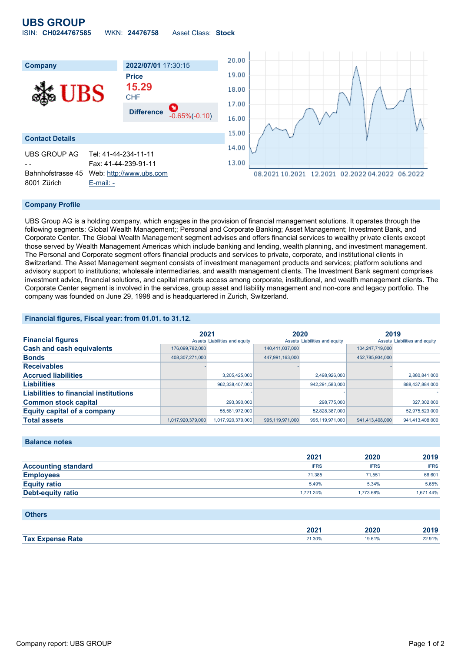# **UBS GROUP**

| ISIN: CH0244767585<br><b>Asset Class: Stock</b><br>WKN: 24476758 |  |  |  |  |  |  |
|------------------------------------------------------------------|--|--|--|--|--|--|
|------------------------------------------------------------------|--|--|--|--|--|--|



#### **Company Profile**

UBS Group AG is a holding company, which engages in the provision of financial management solutions. It operates through the following segments: Global Wealth Management;; Personal and Corporate Banking; Asset Management; Investment Bank, and Corporate Center. The Global Wealth Management segment advises and offers financial services to wealthy private clients except those served by Wealth Management Americas which include banking and lending, wealth planning, and investment management. The Personal and Corporate segment offers financial products and services to private, corporate, and institutional clients in Switzerland. The Asset Management segment consists of investment management products and services; platform solutions and advisory support to institutions; wholesale intermediaries, and wealth management clients. The Investment Bank segment comprises investment advice, financial solutions, and capital markets access among corporate, institutional, and wealth management clients. The Corporate Center segment is involved in the services, group asset and liability management and non-core and legacy portfolio. The company was founded on June 29, 1998 and is headquartered in Zurich, Switzerland.

#### **Financial figures, Fiscal year: from 01.01. to 31.12.**

|                                              | 2021              |                               | 2020            |                               | 2019            |                               |
|----------------------------------------------|-------------------|-------------------------------|-----------------|-------------------------------|-----------------|-------------------------------|
| <b>Financial figures</b>                     |                   | Assets Liabilities and equity |                 | Assets Liabilities and equity |                 | Assets Liabilities and equity |
| <b>Cash and cash equivalents</b>             | 176,099,782,000   |                               | 140,411,037,000 |                               | 104.247.719.000 |                               |
| <b>Bonds</b>                                 | 408,307,271,000   |                               | 447,991,163,000 |                               | 452,785,934,000 |                               |
| <b>Receivables</b>                           |                   |                               |                 |                               |                 |                               |
| <b>Accrued liabilities</b>                   |                   | 3,205,425,000                 |                 | 2,498,926,000                 |                 | 2,880,841,000                 |
| <b>Liabilities</b>                           |                   | 962,338,407,000               |                 | 942,291,583,000               |                 | 888,437,884,000               |
| <b>Liabilities to financial institutions</b> |                   |                               |                 |                               |                 |                               |
| <b>Common stock capital</b>                  |                   | 293,390,000                   |                 | 298,775,000                   |                 | 327,302,000                   |
| <b>Equity capital of a company</b>           |                   | 55.581.972.000                |                 | 52.828.387.000                |                 | 52,975,523,000                |
| <b>Total assets</b>                          | 1.017.920.379.000 | 1.017.920.379.000             | 995.119.971.000 | 995.119.971.000               | 941.413.408.000 | 941.413.408.000               |

#### **Balance notes**

|                            | 2021        | 2020        | 2019        |
|----------------------------|-------------|-------------|-------------|
| <b>Accounting standard</b> | <b>IFRS</b> | <b>IFRS</b> | <b>IFRS</b> |
| <b>Employees</b>           | 71.385      | 71.551      | 68,601      |
| <b>Equity ratio</b>        | 5.49%       | 5.34%       | 5.65%       |
| Debt-equity ratio          | 1.721.24%   | 1.773.68%   | 1,671.44%   |

#### **Others**

| ZUZ                        | 49                    |                 |
|----------------------------|-----------------------|-----------------|
| 24.200<br>ate?<br>2 I.JU70 | 610 <sub>1</sub><br>. | 2.91%<br>-- - - |
|                            |                       |                 |